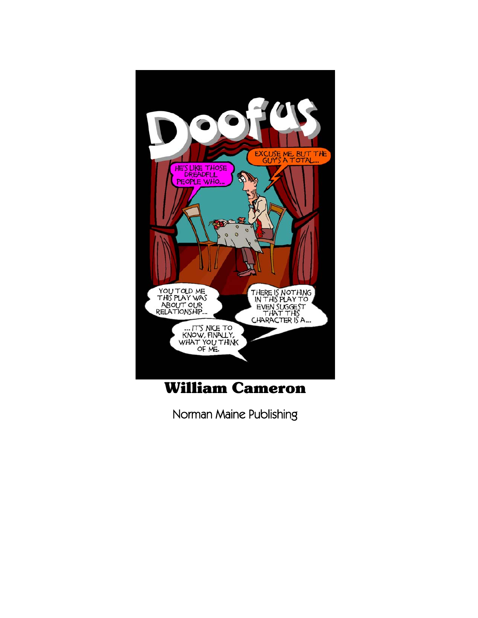

## William Cameron

Norman Maine Publishing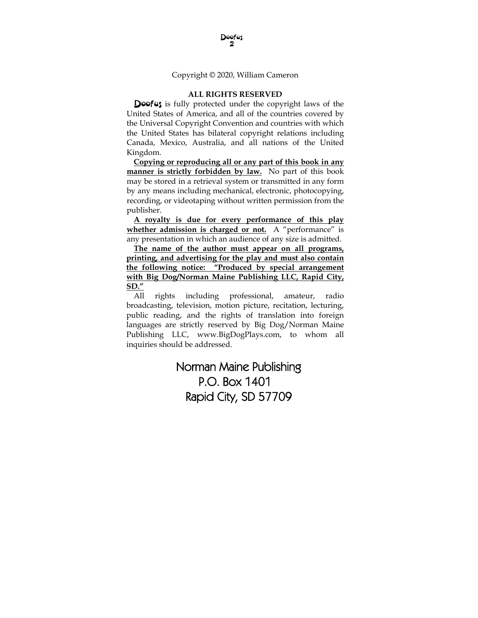Copyright © 2020, William Cameron

#### **ALL RIGHTS RESERVED**

 Doofus is fully protected under the copyright laws of the United States of America, and all of the countries covered by the Universal Copyright Convention and countries with which the United States has bilateral copyright relations including Canada, Mexico, Australia, and all nations of the United Kingdom.

**Copying or reproducing all or any part of this book in any manner is strictly forbidden by law.** No part of this book may be stored in a retrieval system or transmitted in any form by any means including mechanical, electronic, photocopying, recording, or videotaping without written permission from the publisher.

**A royalty is due for every performance of this play whether admission is charged or not.** A "performance" is any presentation in which an audience of any size is admitted.

**The name of the author must appear on all programs, printing, and advertising for the play and must also contain the following notice: "Produced by special arrangement with Big Dog/Norman Maine Publishing LLC, Rapid City, SD."**

All rights including professional, amateur, radio broadcasting, television, motion picture, recitation, lecturing, public reading, and the rights of translation into foreign languages are strictly reserved by Big Dog/Norman Maine Publishing LLC, www.BigDogPlays.com, to whom all inquiries should be addressed.

### Norman Maine Publishing P.O. Box 1401 Rapid City, SD 57709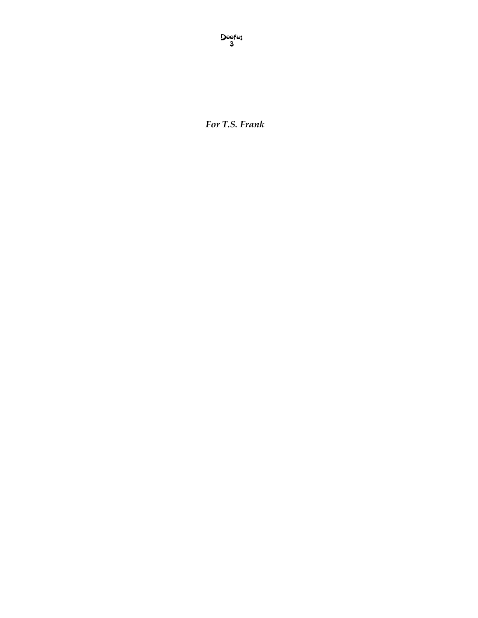*For T.S. Frank*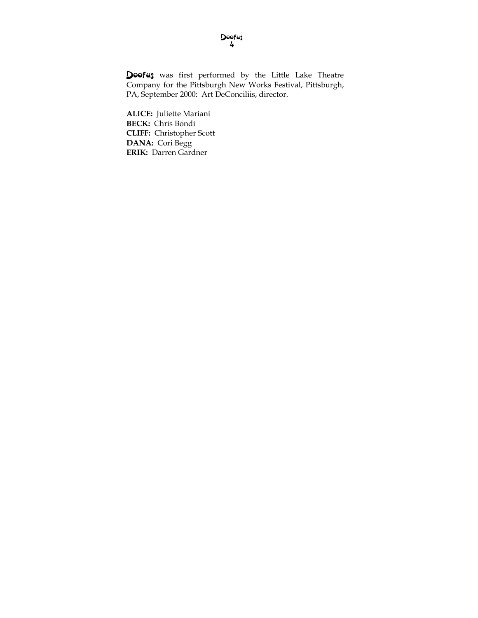Doofus was first performed by the Little Lake Theatre Company for the Pittsburgh New Works Festival, Pittsburgh, PA, September 2000: Art DeConciliis, director.

**ALICE:** Juliette Mariani **BECK:** Chris Bondi **CLIFF:** Christopher Scott **DANA:** Cori Begg **ERIK:** Darren Gardner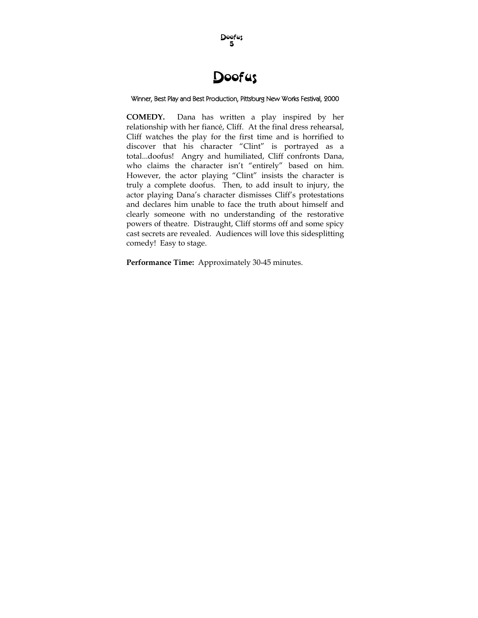

### Winner, Best Play and Best Production, Pittsburg New Works Festival, 2000

**COMEDY.** Dana has written a play inspired by her relationship with her fiancé, Cliff. At the final dress rehearsal, Cliff watches the play for the first time and is horrified to discover that his character "Clint" is portrayed as a total...doofus! Angry and humiliated, Cliff confronts Dana, who claims the character isn't "entirely" based on him. However, the actor playing "Clint" insists the character is truly a complete doofus. Then, to add insult to injury, the actor playing Dana's character dismisses Cliff's protestations and declares him unable to face the truth about himself and clearly someone with no understanding of the restorative powers of theatre. Distraught, Cliff storms off and some spicy cast secrets are revealed. Audiences will love this sidesplitting comedy! Easy to stage.

**Performance Time:** Approximately 30-45 minutes.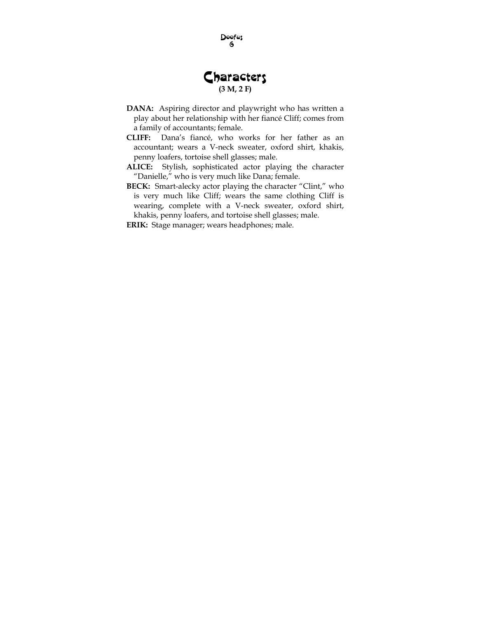### **Characters (3 M, 2 F)**

- **DANA:** Aspiring director and playwright who has written a play about her relationship with her fiancé Cliff; comes from a family of accountants; female.
- **CLIFF:** Dana's fiancé, who works for her father as an accountant; wears a V-neck sweater, oxford shirt, khakis, penny loafers, tortoise shell glasses; male.
- **ALICE:** Stylish, sophisticated actor playing the character "Danielle," who is very much like Dana; female.
- **BECK:** Smart-alecky actor playing the character "Clint," who is very much like Cliff; wears the same clothing Cliff is wearing, complete with a V-neck sweater, oxford shirt, khakis, penny loafers, and tortoise shell glasses; male.

**ERIK:** Stage manager; wears headphones; male.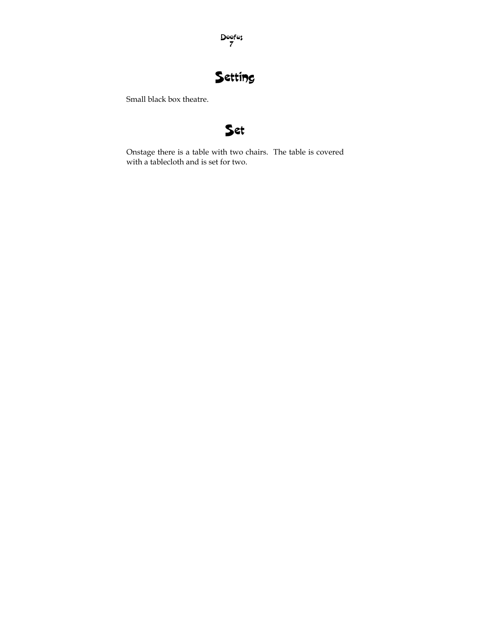

## Setting

Small black box theatre.



Onstage there is a table with two chairs. The table is covered with a tablecloth and is set for two.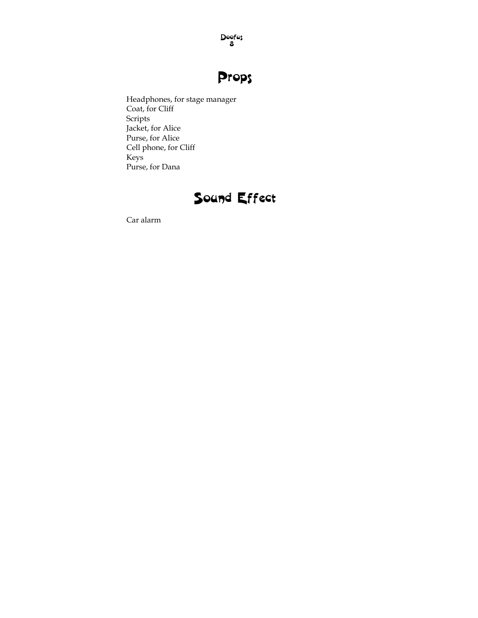# Props

Headphones, for stage manager Coat, for Cliff Scripts Jacket, for Alice Purse, for Alice Cell phone, for Cliff Keys Purse, for Dana

## Sound Effect

Car alarm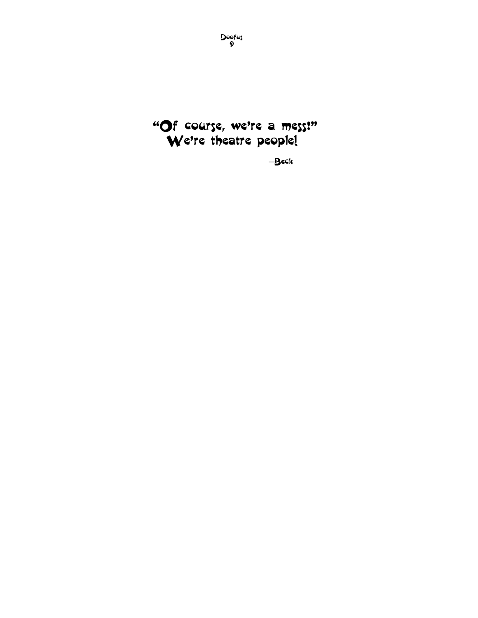

―Beck

Doofus 9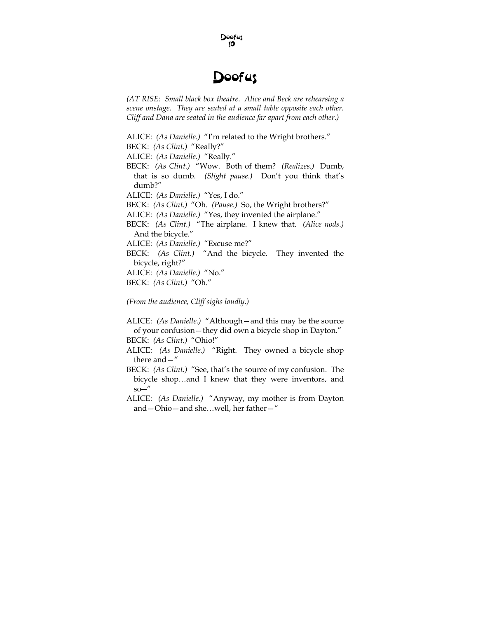

*(AT RISE: Small black box theatre. Alice and Beck are rehearsing a scene onstage. They are seated at a small table opposite each other. Cliff and Dana are seated in the audience far apart from each other.)* 

ALICE: *(As Danielle.)* "I'm related to the Wright brothers."

BECK: *(As Clint.)* "Really?"

ALICE: *(As Danielle.)* "Really."

BECK: *(As Clint.)* "Wow. Both of them? *(Realizes.)* Dumb, that is so dumb. *(Slight pause.)* Don't you think that's dumb?"

ALICE: *(As Danielle.)* "Yes, I do."

BECK: *(As Clint.)* "Oh. *(Pause.)* So, the Wright brothers?"

ALICE: *(As Danielle.)* "Yes, they invented the airplane."

- BECK: *(As Clint.)* "The airplane. I knew that. *(Alice nods.)*  And the bicycle."
- ALICE: *(As Danielle.)* "Excuse me?"

BECK: *(As Clint.)* "And the bicycle. They invented the bicycle, right?"

ALICE: *(As Danielle.)* "No."

BECK: *(As Clint.)* "Oh."

*(From the audience, Cliff sighs loudly.)* 

ALICE: *(As Danielle.)* "Although—and this may be the source of your confusion—they did own a bicycle shop in Dayton." BECK: *(As Clint.)* "Ohio!"

- ALICE: *(As Danielle.)* "Right. They owned a bicycle shop there and—"
- BECK: *(As Clint.)* "See, that's the source of my confusion. The bicycle shop…and I knew that they were inventors, and  $so$ —"
- ALICE: *(As Danielle.)* "Anyway, my mother is from Dayton and—Ohio—and she…well, her father—"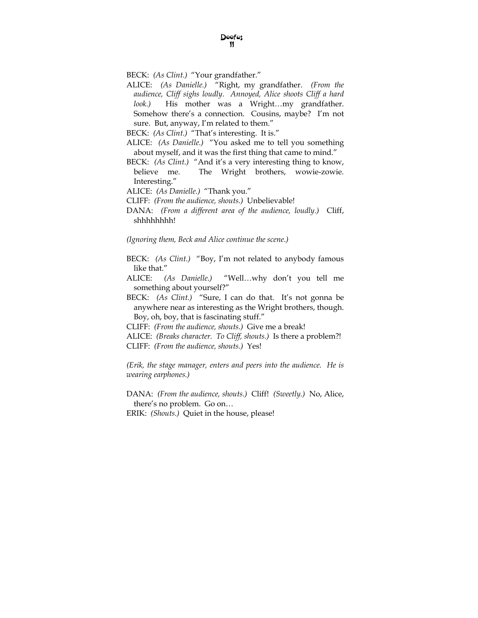- BECK: *(As Clint.)* "Your grandfather."
- ALICE: *(As Danielle.)* "Right, my grandfather. *(From the audience, Cliff sighs loudly. Annoyed, Alice shoots Cliff a hard look.)* His mother was a Wright…my grandfather. Somehow there's a connection. Cousins, maybe? I'm not sure. But, anyway, I'm related to them."

BECK: *(As Clint.)* "That's interesting. It is."

- ALICE: *(As Danielle.)* "You asked me to tell you something about myself, and it was the first thing that came to mind."
- BECK: *(As Clint.)* "And it's a very interesting thing to know, believe me. The Wright brothers, wowie-zowie. Interesting."
- ALICE: *(As Danielle.)* "Thank you."
- CLIFF: *(From the audience, shouts.)* Unbelievable!
- DANA: *(From a different area of the audience, loudly.)* Cliff, shhhhhhhh!

*(Ignoring them, Beck and Alice continue the scene.)* 

- BECK: *(As Clint.)* "Boy, I'm not related to anybody famous like that."
- ALICE: *(As Danielle.)* "Well…why don't you tell me something about yourself?"
- BECK: *(As Clint.)* "Sure, I can do that. It's not gonna be anywhere near as interesting as the Wright brothers, though. Boy, oh, boy, that is fascinating stuff."
- CLIFF: *(From the audience, shouts.)* Give me a break!
- ALICE: *(Breaks character. To Cliff, shouts.)* Is there a problem?! CLIFF: *(From the audience, shouts.)* Yes!

*(Erik, the stage manager, enters and peers into the audience. He is wearing earphones.)* 

DANA: *(From the audience, shouts.)* Cliff! *(Sweetly.)* No, Alice, there's no problem. Go on…

ERIK: *(Shouts.)* Quiet in the house, please!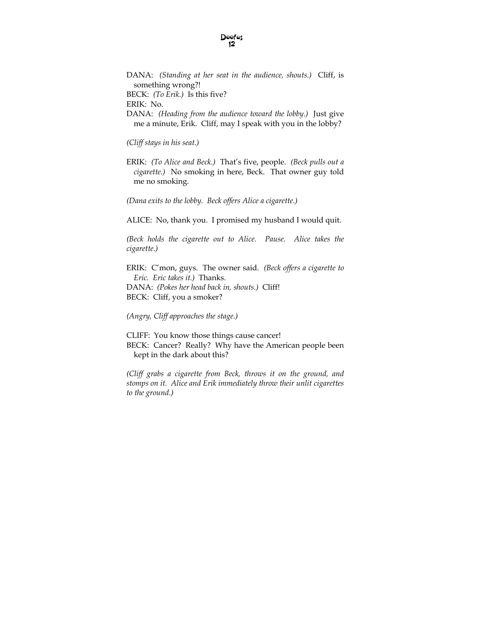DANA: *(Standing at her seat in the audience, shouts.)* Cliff, is something wrong?! BECK: *(To Erik.)* Is this five? ERIK: No. DANA: *(Heading from the audience toward the lobby.)* Just give me a minute, Erik. Cliff, may I speak with you in the lobby?

*(Cliff stays in his seat.)* 

ERIK: *(To Alice and Beck.)* That's five, people. *(Beck pulls out a cigarette.)* No smoking in here, Beck. That owner guy told me no smoking.

*(Dana exits to the lobby. Beck offers Alice a cigarette.)* 

ALICE: No, thank you. I promised my husband I would quit.

*(Beck holds the cigarette out to Alice. Pause. Alice takes the cigarette.)* 

ERIK: C'mon, guys. The owner said. *(Beck offers a cigarette to Eric. Eric takes it.)* Thanks. DANA: *(Pokes her head back in, shouts.)* Cliff! BECK: Cliff, you a smoker?

*(Angry, Cliff approaches the stage.)* 

CLIFF: You know those things cause cancer! BECK: Cancer? Really? Why have the American people been kept in the dark about this?

*(Cliff grabs a cigarette from Beck, throws it on the ground, and stomps on it. Alice and Erik immediately throw their unlit cigarettes to the ground.)*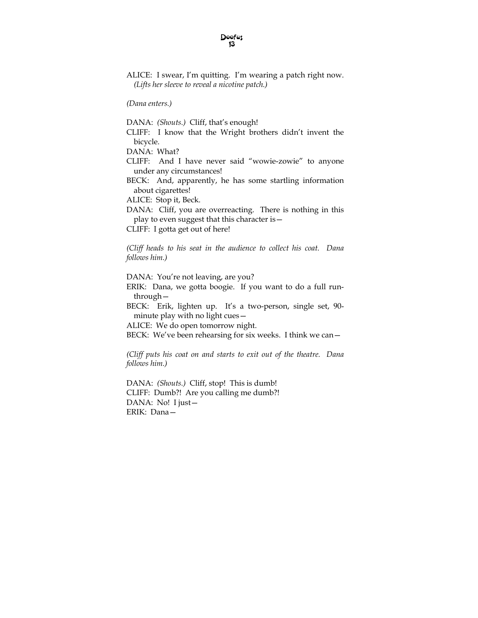*(Dana enters.)* 

DANA: *(Shouts.)* Cliff, that's enough!

CLIFF: I know that the Wright brothers didn't invent the bicycle.

DANA: What?

CLIFF: And I have never said "wowie-zowie" to anyone under any circumstances!

BECK: And, apparently, he has some startling information about cigarettes!

ALICE: Stop it, Beck.

DANA: Cliff, you are overreacting. There is nothing in this play to even suggest that this character is—

CLIFF: I gotta get out of here!

*(Cliff heads to his seat in the audience to collect his coat. Dana follows him.)* 

DANA: You're not leaving, are you?

ERIK: Dana, we gotta boogie. If you want to do a full runthrough—

BECK: Erik, lighten up. It's a two-person, single set, 90 minute play with no light cues—

ALICE: We do open tomorrow night.

BECK: We've been rehearsing for six weeks. I think we can—

*(Cliff puts his coat on and starts to exit out of the theatre. Dana follows him.)* 

DANA: *(Shouts.)* Cliff, stop! This is dumb! CLIFF: Dumb?! Are you calling me dumb?! DANA: No! I just— ERIK: Dana—

ALICE: I swear, I'm quitting. I'm wearing a patch right now. *(Lifts her sleeve to reveal a nicotine patch.)*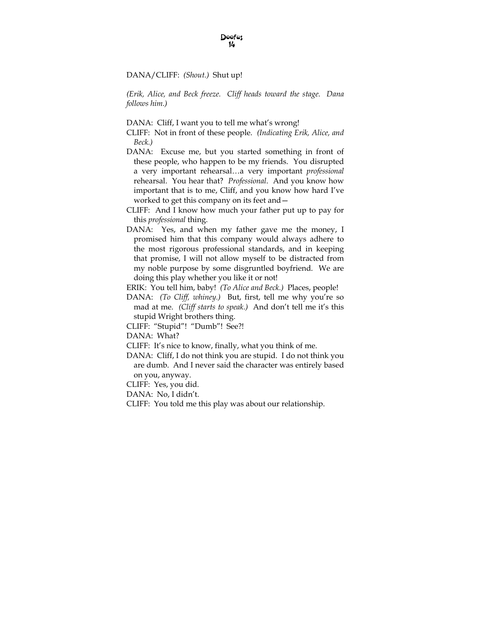#### DANA/CLIFF: *(Shout.)* Shut up!

*(Erik, Alice, and Beck freeze. Cliff heads toward the stage. Dana follows him.)* 

DANA: Cliff, I want you to tell me what's wrong!

- CLIFF: Not in front of these people. *(Indicating Erik, Alice, and Beck.)*
- DANA: Excuse me, but you started something in front of these people, who happen to be my friends. You disrupted a very important rehearsal…a very important *professional* rehearsal. You hear that? *Professional*. And you know how important that is to me, Cliff, and you know how hard I've worked to get this company on its feet and—
- CLIFF: And I know how much your father put up to pay for this *professional* thing.
- DANA: Yes, and when my father gave me the money, I promised him that this company would always adhere to the most rigorous professional standards, and in keeping that promise, I will not allow myself to be distracted from my noble purpose by some disgruntled boyfriend. We are doing this play whether you like it or not!

ERIK: You tell him, baby! *(To Alice and Beck.)* Places, people!

- DANA: *(To Cliff, whiney.)* But, first, tell me why you're so mad at me. *(Cliff starts to speak.)* And don't tell me it's this stupid Wright brothers thing.
- CLIFF: "Stupid"! "Dumb"! See?!

DANA: What?

- CLIFF: It's nice to know, finally, what you think of me.
- DANA: Cliff, I do not think you are stupid. I do not think you are dumb. And I never said the character was entirely based on you, anyway.

CLIFF: Yes, you did.

DANA: No, I didn't.

CLIFF: You told me this play was about our relationship.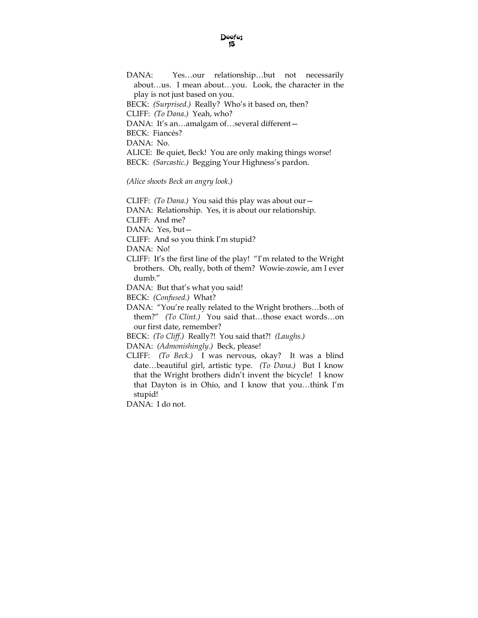DANA: Yes…our relationship…but not necessarily about…us. I mean about…you. Look, the character in the play is not just based on you. BECK: *(Surprised.)* Really? Who's it based on, then? CLIFF: *(To Dana.)* Yeah, who? DANA: It's an...amalgam of...several different-BECK: Fiancés? DANA: No. ALICE: Be quiet, Beck! You are only making things worse! BECK: *(Sarcastic.)* Begging Your Highness's pardon.

*(Alice shoots Beck an angry look.)* 

CLIFF: *(To Dana.)* You said this play was about our—

DANA: Relationship. Yes, it is about our relationship.

CLIFF: And me?

DANA: Yes, but—

CLIFF: And so you think I'm stupid?

DANA: No!

CLIFF: It's the first line of the play! "I'm related to the Wright brothers. Oh, really, both of them? Wowie-zowie, am I ever dumb."

DANA: But that's what you said!

BECK: *(Confused.)* What?

DANA: "You're really related to the Wright brothers…both of them?" *(To Clint.)* You said that…those exact words…on our first date, remember?

BECK: *(To Cliff.)* Really?! You said that?! *(Laughs.)* 

DANA: *(Admonishingly.)* Beck, please!

CLIFF: *(To Beck.)* I was nervous, okay? It was a blind date…beautiful girl, artistic type. *(To Dana.)* But I know that the Wright brothers didn't invent the bicycle! I know that Dayton is in Ohio, and I know that you*…*think I'm stupid!

DANA: I do not.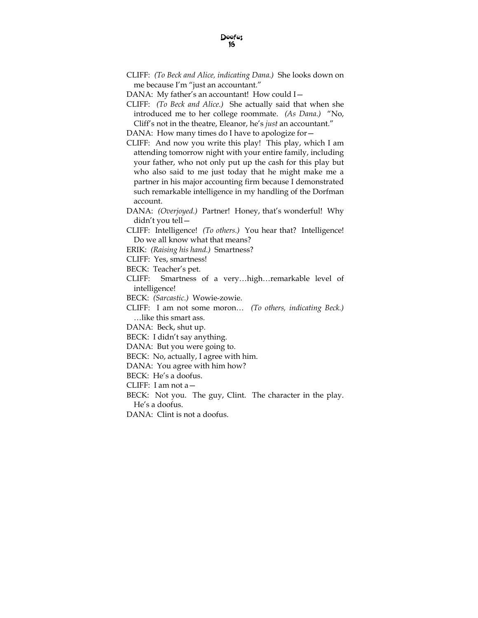CLIFF: *(To Beck and Alice, indicating Dana.)* She looks down on me because I'm "just an accountant."

DANA: My father's an accountant! How could I—

CLIFF: *(To Beck and Alice.)* She actually said that when she introduced me to her college roommate. *(As Dana.)* "No, Cliff's not in the theatre, Eleanor, he's *just* an accountant."

DANA: How many times do I have to apologize for -

- CLIFF: And now you write this play! This play, which I am attending tomorrow night with your entire family, including your father, who not only put up the cash for this play but who also said to me just today that he might make me a partner in his major accounting firm because I demonstrated such remarkable intelligence in my handling of the Dorfman account.
- DANA: *(Overjoyed.)* Partner! Honey, that's wonderful! Why didn't you tell—

CLIFF: Intelligence! *(To others.)* You hear that? Intelligence! Do we all know what that means?

ERIK: *(Raising his hand.)* Smartness?

CLIFF: Yes, smartness!

BECK: Teacher's pet.

CLIFF: Smartness of a very…high…remarkable level of intelligence!

BECK: *(Sarcastic.)* Wowie-zowie.

CLIFF: I am not some moron… *(To others, indicating Beck.)*  …like this smart ass.

DANA: Beck, shut up.

BECK: I didn't say anything.

DANA: But you were going to.

BECK: No, actually, I agree with him.

DANA: You agree with him how?

BECK: He's a doofus.

CLIFF: I am not a—

BECK: Not you. The guy, Clint. The character in the play. He's a doofus.

DANA: Clint is not a doofus.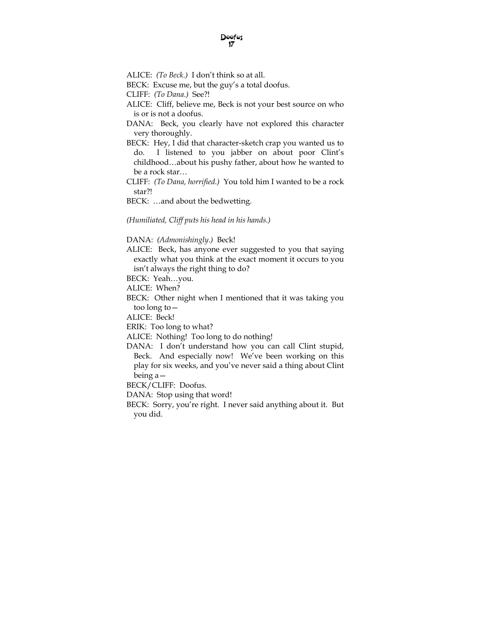ALICE: *(To Beck.)* I don't think so at all.

BECK: Excuse me, but the guy's a total doofus.

CLIFF: *(To Dana.)* See?!

ALICE: Cliff, believe me, Beck is not your best source on who is or is not a doofus.

DANA: Beck, you clearly have not explored this character very thoroughly.

BECK: Hey, I did that character-sketch crap you wanted us to do. I listened to you jabber on about poor Clint's childhood…about his pushy father, about how he wanted to be a rock star…

CLIFF: *(To Dana, horrified.)* You told him I wanted to be a rock star?!

BECK: …and about the bedwetting.

*(Humiliated, Cliff puts his head in his hands.)* 

#### DANA: *(Admonishingly.)* Beck!

ALICE: Beck, has anyone ever suggested to you that saying exactly what you think at the exact moment it occurs to you isn't always the right thing to do?

BECK: Yeah…you.

ALICE: When?

BECK: Other night when I mentioned that it was taking you too long to—

ALICE: Beck!

ERIK: Too long to what?

ALICE: Nothing! Too long to do nothing!

DANA: I don't understand how you can call Clint stupid, Beck. And especially now! We've been working on this play for six weeks, and you've never said a thing about Clint being a—

BECK/CLIFF: Doofus.

DANA: Stop using that word!

BECK: Sorry, you're right. I never said anything about it. But you did.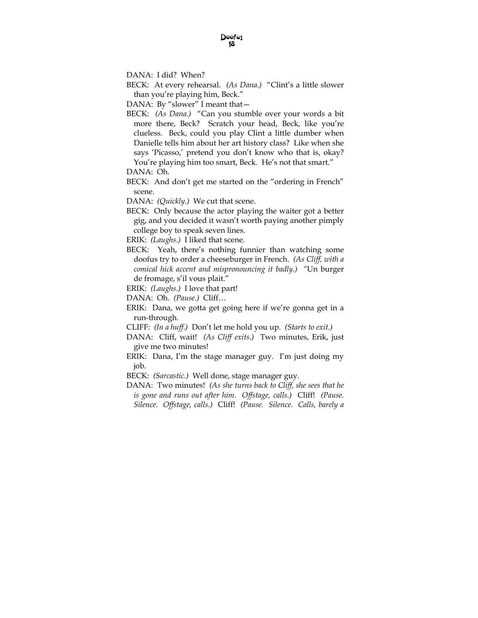DANA: I did? When?

BECK: At every rehearsal. *(As Dana.)* "Clint's a little slower than you're playing him, Beck."

DANA: By "slower" I meant that -

BECK: *(As Dana.)* "Can you stumble over your words a bit more there, Beck? Scratch your head, Beck, like you're clueless. Beck, could you play Clint a little dumber when Danielle tells him about her art history class? Like when she says 'Picasso,' pretend you don't know who that is, okay? You're playing him too smart, Beck. He's not that smart."

BECK: And don't get me started on the "ordering in French" scene.

DANA: *(Quickly.)* We cut that scene.

- BECK: Only because the actor playing the waiter got a better gig, and you decided it wasn't worth paying another pimply college boy to speak seven lines.
- ERIK: *(Laughs.)* I liked that scene.
- BECK: Yeah, there's nothing funnier than watching some doofus try to order a cheeseburger in French. *(As Cliff, with a comical hick accent and mispronouncing it badly.) "*Un burger de fromage, s'il vous plait."
- ERIK: *(Laughs.)* I love that part!
- DANA: Oh. *(Pause.)* Cliff…
- ERIK: Dana, we gotta get going here if we're gonna get in a run-through.
- CLIFF: *(In a huff.)* Don't let me hold you up. *(Starts to exit.)*
- DANA: Cliff, wait! *(As Cliff exits.)* Two minutes, Erik, just give me two minutes!
- ERIK: Dana, I'm the stage manager guy. I'm just doing my job.
- BECK: *(Sarcastic.)* Well done, stage manager guy.
- DANA: Two minutes! *(As she turns back to Cliff, she sees that he is gone and runs out after him. Offstage, calls.)* Cliff! *(Pause. Silence. Offstage, calls.)* Cliff! *(Pause. Silence. Calls, barely a*

DANA: Oh.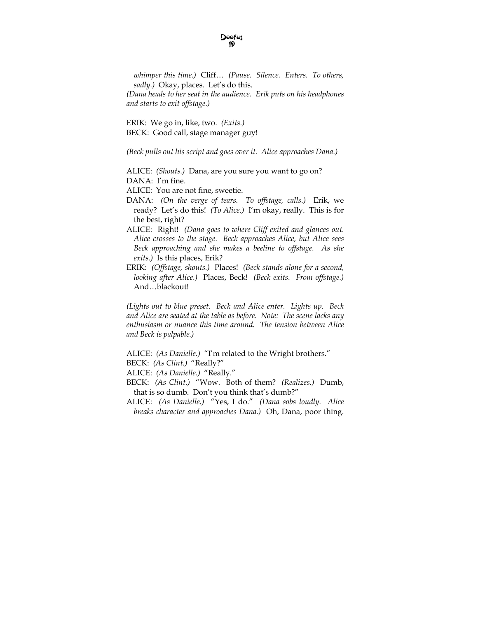*whimper this time.)* Cliff… *(Pause. Silence. Enters. To others, sadly.)* Okay, places. Let's do this.

*(Dana heads to her seat in the audience. Erik puts on his headphones and starts to exit offstage.)* 

ERIK: We go in, like, two. *(Exits.)*  BECK: Good call, stage manager guy!

*(Beck pulls out his script and goes over it. Alice approaches Dana.)* 

ALICE: *(Shouts.)* Dana, are you sure you want to go on?

DANA: I'm fine.

ALICE: You are not fine, sweetie.

- DANA: *(On the verge of tears. To offstage, calls.)* Erik, we ready? Let's do this! *(To Alice.)* I'm okay, really. This is for the best, right?
- ALICE: Right! *(Dana goes to where Cliff exited and glances out. Alice crosses to the stage. Beck approaches Alice, but Alice sees Beck approaching and she makes a beeline to offstage. As she exits.)* Is this places, Erik?
- ERIK: *(Offstage, shouts.)* Places! *(Beck stands alone for a second, looking after Alice.)* Places, Beck! *(Beck exits. From offstage.)*  And…blackout!

*(Lights out to blue preset. Beck and Alice enter. Lights up. Beck and Alice are seated at the table as before. Note: The scene lacks any enthusiasm or nuance this time around. The tension between Alice and Beck is palpable.)* 

ALICE: *(As Danielle.)* "I'm related to the Wright brothers."

BECK: *(As Clint.)* "Really?"

ALICE: *(As Danielle.)* "Really."

- BECK: *(As Clint.)* "Wow. Both of them? *(Realizes.)* Dumb, that is so dumb. Don't you think that's dumb?"
- ALICE: *(As Danielle.)* "Yes, I do." *(Dana sobs loudly. Alice breaks character and approaches Dana.)* Oh, Dana, poor thing.